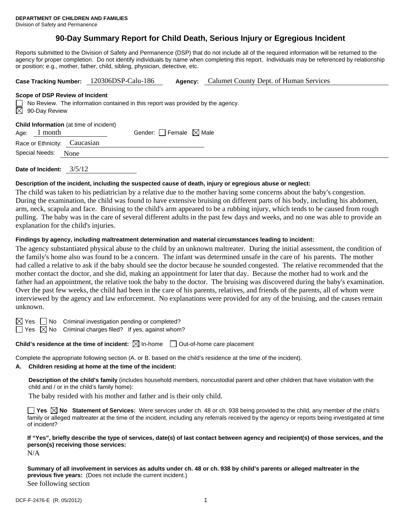# **90-Day Summary Report for Child Death, Serious Injury or Egregious Incident**

Reports submitted to the Division of Safety and Permanence (DSP) that do not include all of the required information will be returned to the agency for proper completion. Do not identify individuals by name when completing this report. Individuals may be referenced by relationship or position; e.g., mother, father, child, sibling, physician, detective, etc.

| Case Tracking Number: 120306DSP-Calu-186                                                                                                               |  | Agency:                                | Calumet County Dept. of Human Services |  |  |  |  |
|--------------------------------------------------------------------------------------------------------------------------------------------------------|--|----------------------------------------|----------------------------------------|--|--|--|--|
| Scope of DSP Review of Incident<br>$\Box$ No Review. The information contained in this report was provided by the agency.<br>$\boxtimes$ 90-Day Review |  |                                        |                                        |  |  |  |  |
| <b>Child Information</b> (at time of incident)<br>1 month<br>Age:                                                                                      |  | Gender: $\Box$ Female $\boxtimes$ Male |                                        |  |  |  |  |
| Caucasian<br>Race or Ethnicity:                                                                                                                        |  |                                        |                                        |  |  |  |  |
| Special Needs:<br>None                                                                                                                                 |  |                                        |                                        |  |  |  |  |
|                                                                                                                                                        |  |                                        |                                        |  |  |  |  |

**Date of Incident:** 3/5/12

# **Description of the incident, including the suspected cause of death, injury or egregious abuse or neglect:**

The child was taken to his pediatrician by a relative due to the mother having some concerns about the baby's congestion. During the examination, the child was found to have extensive bruising on different parts of his body, including his abdomen, arm, neck, scapula and face. Bruising to the child's arm appeared to be a rubbing injury, which tends to be caused from rough pulling. The baby was in the care of several different adults in the past few days and weeks, and no one was able to provide an explanation for the child's injuries.

# **Findings by agency, including maltreatment determination and material circumstances leading to incident:**

The agency substantiated physical abuse to the child by an unknown maltreater. During the initial assessment, the condition of the family's home also was found to be a concern. The infant was determined unsafe in the care of his parents. The mother had called a relative to ask if the baby should see the doctor because he sounded congested. The relative recommended that the mother contact the doctor, and she did, making an appointment for later that day. Because the mother had to work and the father had an appointment, the relative took the baby to the doctor. The bruising was discovered during the baby's examination. Over the past few weeks, the child had been in the care of his parents, relatives, and friends of the parents, all of whom were interviewed by the agency and law enforcement. No explanations were provided for any of the bruising, and the causes remain unknown.

 $\boxtimes$  Yes  $\Box$  No Criminal investigation pending or completed?

 $\Box$  Yes  $\boxtimes$  No Criminal charges filed? If yes, against whom?

**Child's residence at the time of incident:**  $\boxtimes$  In-home  $\Box$  Out-of-home care placement

Complete the appropriate following section (A. or B. based on the child's residence at the time of the incident).

## **A. Children residing at home at the time of the incident:**

**Description of the child's family** (includes household members, noncustodial parent and other children that have visitation with the child and / or in the child's family home):

The baby resided with his mother and father and is their only child.

■ Yes **No** Statement of Services: Were services under ch. 48 or ch. 938 being provided to the child, any member of the child's family or alleged maltreater at the time of the incident, including any referrals received by the agency or reports being investigated at time of incident?

# **If "Yes", briefly describe the type of services, date(s) of last contact between agency and recipient(s) of those services, and the person(s) receiving those services:**

N/A

**Summary of all involvement in services as adults under ch. 48 or ch. 938 by child's parents or alleged maltreater in the previous five years:** (Does not include the current incident.) See following section